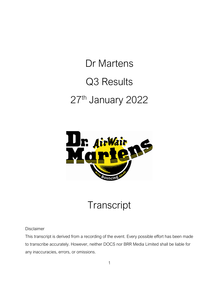## Dr Martens Q3 Results 27th January 2022



## **Transcript**

Disclaimer

This transcript is derived from a recording of the event. Every possible effort has been made to transcribe accurately. However, neither DOCS nor BRR Media Limited shall be liable for any inaccuracies, errors, or omissions.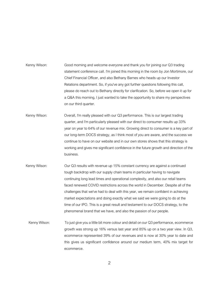- Kenny Wilson: Good morning and welcome everyone and thank you for joining our Q3 trading statement conference call. I'm joined this morning in the room by Jon Mortimore, our Chief Financial Officer, and also Bethany Barnes who heads up our Investor Relations department. So, if you've any got further questions following this call, please do reach out to Bethany directly for clarification. So, before we open it up for a Q&A this morning, I just wanted to take the opportunity to share my perspectives on our third quarter.
- Kenny Wilson: Overall, I'm really pleased with our Q3 performance. This is our largest trading quarter, and I'm particularly pleased with our direct to consumer results up 33% year on year to 64% of our revenue mix. Growing direct to consumer is a key part of our long-term DOCS strategy, as I think most of you are aware, and the success we continue to have on our website and in our own stores shows that this strategy is working and gives me significant confidence in the future growth and direction of the business.
- Kenny Wilson: Our Q3 results with revenue up 15% constant currency are against a continued tough backdrop with our supply chain teams in particular having to navigate continuing long lead times and operational complexity, and also our retail teams faced renewed COVID restrictions across the world in December. Despite all of the challenges that we've had to deal with this year, we remain confident in achieving market expectations and doing exactly what we said we were going to do at the time of our IPO. This is a great result and testament to our DOCS strategy, to the phenomenal brand that we have, and also the passion of our people.
	- Kenny Wilson: To just give you a little bit more colour and detail on our Q3 performance, ecommerce growth was strong up 16% versus last year and 85% up on a two year view. In Q3, ecommerce represented 39% of our revenues and is now at 30% year to date and this gives us significant confidence around our medium term, 40% mix target for ecommerce.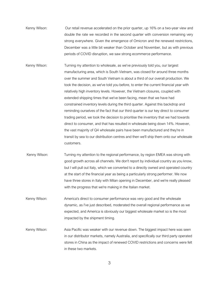- Kenny Wilson: Our retail revenue accelerated on the prior quarter, up 16% on a two-year view and double the rate we recorded in the second quarter with conversion remaining very strong everywhere. Given the emergence of Omicron and the renewed restrictions, December was a little bit weaker than October and November, but as with previous periods of COVID disruption, we saw strong ecommerce performance.
- Kenny Wilson: Turning my attention to wholesale, as we've previously told you, our largest manufacturing area, which is South Vietnam, was closed for around three months over the summer and South Vietnam is about a third of our overall production. We took the decision, as we've told you before, to enter the current financial year with relatively high inventory levels. However, the Vietnam closures, coupled with extended shipping times that we've been facing, mean that we have had constrained inventory levels during the third quarter. Against this backdrop and reminding ourselves of the fact that our third quarter is our key direct to consumer trading period, we took the decision to prioritise the inventory that we had towards direct to consumer, and that has resulted in wholesale being down 14%. However, the vast majority of Q4 wholesale pairs have been manufactured and they're in transit by sea to our distribution centres and then we'll ship them onto our wholesale customers.
- Kenny Wilson: Turning my attention to the regional performance, by region EMEA was strong with good growth across all channels. We don't report by individual country as you know, but I will pull out Italy, which we converted to a directly owned and operated country at the start of the financial year as being a particularly strong performer. We now have three stores in Italy with Milan opening in December, and we're really pleased with the progress that we're making in the Italian market.
- Kenny Wilson: America's direct to consumer performance was very good and the wholesale dynamic, as I've just described, moderated the overall regional performance as we expected, and America is obviously our biggest wholesale market so is the most impacted by the shipment timing.
- Kenny Wilson: Asia Pacific was weaker with our revenue down. The biggest impact here was seen in our distributor markets, namely Australia, and specifically our third party operated stores in China as the impact of renewed COVID restrictions and concerns were felt in these two markets.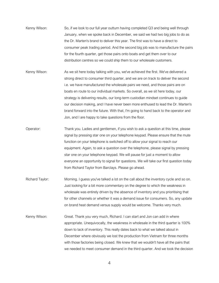- Kenny Wilson: So, if we look to our full year outturn having completed Q3 and being well through January, when we spoke back in December, we said we had two big jobs to do as the Dr. Marten's brand to deliver this year. The first was to have a direct to consumer peak trading period. And the second big job was to manufacture the pairs for the fourth quarter, get those pairs onto boats and get them over to our distribution centres so we could ship them to our wholesale customers.
- Kenny Wilson: As we sit here today talking with you, we've achieved the first. We've delivered a strong direct to consumer third quarter, and we are on track to deliver the second i.e. we have manufactured the wholesale pairs we need, and those pairs are on boats en route to our individual markets. So overall, as we sit here today, our strategy is delivering results, our long-term custodian mindset continues to guide our decision making, and I have never been more enthused to lead the Dr. Marten's brand forward into the future. With that, I'm going to hand back to the operator and Jon, and I are happy to take questions from the floor.
- Operator: Thank you. Ladies and gentlemen, if you wish to ask a question at this time, please signal by pressing star one on your telephone keypad. Please ensure that the mute function on your telephone is switched off to allow your signal to reach our equipment. Again, to ask a question over the telephone, please signal by pressing star one on your telephone keypad. We will pause for just a moment to allow everyone an opportunity to signal for questions. We will take our first question today from Richard Taylor from Barclays. Please go ahead.
- Richard Taylor: Morning. I guess you've talked a lot on the call about the inventory cycle and so on. Just looking for a bit more commentary on the degree to which the weakness in wholesale was entirely driven by the absence of inventory and you prioritising that for other channels or whether it was a demand issue for consumers. So, any update on brand heat demand versus supply would be welcome. Thanks very much.
- Kenny Wilson: Great. Thank you very much, Richard. I can start and Jon can add in where appropriate. Unequivocally, the weakness in wholesale in the third quarter is 100% down to lack of inventory. This really dates back to what we talked about in December where obviously we lost the production from Vietnam for three months with those factories being closed. We knew that we wouldn't have all the pairs that we needed to meet consumer demand in the third quarter. And we took the decision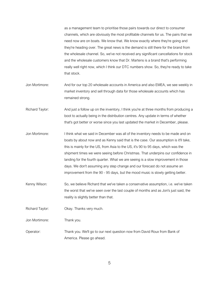as a management team to prioritise those pairs towards our direct to consumer channels, which are obviously the most profitable channels for us. The pairs that we need now are on boats. We know that. We know exactly where they're going and they're heading over. The great news is the demand is still there for the brand from the wholesale channel. So, we've not received any significant cancellations for stock and the wholesale customers know that Dr. Martens is a brand that's performing really well right now, which I think our DTC numbers show. So, they're ready to take that stock.

- Jon Mortimore: And for our top 20 wholesale accounts in America and also EMEA, we see weekly in market inventory and sell through data for those wholesale accounts which has remained strong.
- Richard Taylor: And just a follow up on the inventory, I think you're at three months from producing a boot to actually being in the distribution centres. Any update in terms of whether that's got better or worse since you last updated the market in December, please.
- Jon Mortimore: I think what we said in December was all of the inventory needs to be made and on boats by about now and as Kenny said that is the case. Our assumption is it'll take, this is mainly for the US, from Asia to the US, it's 90 to 95 days, which was the shipment times we were seeing before Christmas. That underpins our confidence in landing for the fourth quarter. What we are seeing is a slow improvement in those days. We don't assuming any step change and our forecast do not assume an improvement from the 90 - 95 days, but the mood music is slowly getting better.
- Kenny Wilson: So, we believe Richard that we've taken a conservative assumption, i.e. we've taken the worst that we've seen over the last couple of months and as Jon's just said, the reality is slightly better than that.
- Richard Taylor: Okay. Thanks very much.

Jon Mortimore: Thank you.

Operator: Thank you. We'll go to our next question now from David Roux from Bank of America. Please go ahead.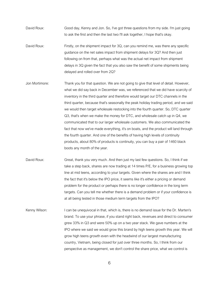David Roux: Good day, Kenny and Jon. So, I've got three questions from my side. I'm just going to ask the first and then the last two I'll ask together, I hope that's okay.

- David Roux: Firstly, on the shipment impact for 3Q, can you remind me, was there any specific guidance on the net sales impact from shipment delays for 3Q? And then just following on from that, perhaps what was the actual net impact from shipment delays in 3Q given the fact that you also saw the benefit of some shipments being delayed and rolled over from 2Q?
- Jon Mortimore: Thank you for that question. We are not going to give that level of detail. However, what we did say back in December was, we referenced that we did have scarcity of inventory in the third quarter and therefore would target our DTC channels in the third quarter, because that's seasonally the peak holiday trading period, and we said we would then target wholesale restocking into the fourth quarter. So, DTC quarter Q3, that's when we make the money for DTC, and wholesale catch up in Q4, we communicated that to our larger wholesale customers. We also communicated the fact that now we've made everything, it's on boats, and the product will land through the fourth quarter. And one of the benefits of having high levels of continuity products, about 80% of products is continuity, you can buy a pair of 1460 black boots any month of the year.
- David Roux: Great, thank you very much. And then just my last few questions. So, I think if we take a step back, shares are now trading at 14 times P/E, for a business growing top line at mid teens, according to your targets. Given where the shares are and I think the fact that it's below the IPO price, it seems like it's either a pricing or demand problem for the product or perhaps there is no longer confidence in the long term targets. Can you tell me whether there is a demand problem or if your confidence is at all being tested in those medium term targets from the IPO?
- Kenny Wilson: I can be unequivocal in that, which is, there is no demand issue for the Dr. Marten's brand. To use your phrase, if you stand right back, revenues and direct to consumer grew 33% in Q3 and were 50% up on a two year stack. We gave numbers at the IPO where we said we would grow this brand by high teens growth this year. We will grow high teens growth even with the headwind of our largest manufacturing country, Vietnam, being closed for just over three months. So, I think from our perspective as management, we don't control the share price, what we control is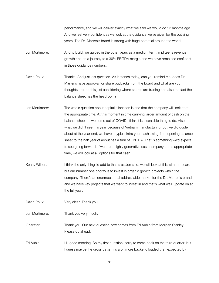performance, and we will deliver exactly what we said we would do 12 months ago. And we feel very confident as we look at the guidance we've given for the outlying years. The Dr. Marten's brand is strong with huge potential around the world.

- Jon Mortimore: And to build, we guided in the outer years as a medium term, mid teens revenue growth and on a journey to a 30% EBITDA margin and we have remained confident in those guidance numbers.
- David Roux: Thanks. And just last question. As it stands today, can you remind me, does Dr. Martens have approval for share buybacks from the board and what are your thoughts around this just considering where shares are trading and also the fact the balance sheet has the headroom?
- Jon Mortimore: The whole question about capital allocation is one that the company will look at at the appropriate time. At this moment in time carrying larger amount of cash on the balance sheet as we come out of COVID I think it is a sensible thing to do. Also, what we didn't see this year because of Vietnam manufacturing, but we did guide about at the year end, we have a typical intra year cash swing from opening balance sheet to the half year of about half a turn of EBITDA. That is something we'd expect to see going forward. If we are a highly generative cash company at the appropriate time, we will look at all options for that cash.
- Kenny Wilson: I think the only thing I'd add to that is as Jon said, we will look at this with the board, but our number one priority is to invest in organic growth projects within the company. There's an enormous total addressable market for the Dr. Marten's brand and we have key projects that we want to invest in and that's what we'll update on at the full year.

David Roux: Very clear. Thank you.

Jon Mortimore: Thank you very much.

Operator: Thank you. Our next question now comes from Ed Aubin from Morgan Stanley. Please go ahead.

Ed Aubin: Hi, good morning. So my first question, sorry to come back on the third quarter, but I guess maybe the gross pattern is a bit more backend loaded than expected by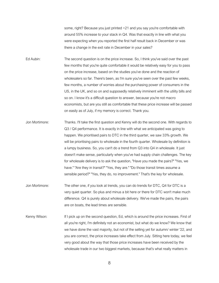some, right? Because you just printed +21 and you say you're comfortable with around 55% increase to your stack in Q4. Was that exactly in line with what you were expecting when you reported the first half result back in December or was there a change in the exit rate in December in your sales?

Ed Aubin: The second question is on the price increase. So, I think you've said over the past few months that you're quite comfortable it would be relatively easy for you to pass on the price increase, based on the studies you've done and the reaction of wholesalers so far. There's been, as I'm sure you've seen over the past few weeks, few months, a number of worries about the purchasing power of consumers in the US, in the UK, and so on and supposedly relatively imminent with the utility bills and so on. I know it's a difficult question to answer, because you're not macro economists, but are you still as comfortable that these price increase will be passed on easily as of July, if my memory is correct. Thank you.

- Jon Mortimore: Thanks. I'll take the first question and Kenny will do the second one. With regards to Q3 / Q4 performance. It is exactly in line with what we anticipated was going to happen. We prioritised pairs to DTC in the third quarter, we saw 33% growth. We will be prioritising pairs to wholesale in the fourth quarter. Wholesale by definition is a lumpy business. So, you can't do a trend from Q3 into Q4 in wholesale. It just doesn't make sense, particularly when you've had supply chain challenges. The key for wholesale delivery is to ask the question, "Have you made the pairs?" "Yes, we have." "Are they in transit?" "Yes, they are." "Do those transit times assume a sensible period?" "Yes, they do, no improvement." That's the key for wholesale.
- Jon Mortimore: The other one, if you look at trends, you can do trends for DTC, Q4 for DTC is a very quiet quarter. So plus and minus a bit here or there for DTC won't make much difference. Q4 is purely about wholesale delivery. We've made the pairs, the pairs are on boats, the lead times are sensible.
- Kenny Wilson: If I pick up on the second question, Ed, which is around the price increases. First of all you're right, I'm definitely not an economist, but what do we know? We know that we have done the vast majority, but not of the selling yet for autumn/ winter '22, and you are correct, the price increases take effect from July. Sitting here today, we feel very good about the way that those price increases have been received by the wholesale trade in our two biggest markets, because that's what really matters in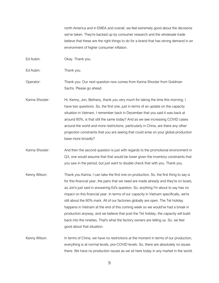north America and in EMEA and overall, we feel extremely good about the decisions we've taken. They're backed up by consumer research and the wholesale trade believe that these are the right things to do for a brand that has strong demand in an environment of higher consumer inflation.

Ed Aubin: Okay. Thank you.

Ed Aubin: Thank you.

Operator: Thank you. Our next question now comes from Karina Shooter from Goldman Sachs. Please go ahead.

Karina Shooter: Hi, Kenny, Jon, Bethany, thank you very much for taking the time this morning. I have two questions. So, the first one, just in terms of an update on the capacity situation in Vietnam, I remember back in December that you said it was back at around 80%, is that still the same today? And as we see increasing COVID cases around the world and more restrictions, particularly in China, are there any other projection constraints that you are seeing that could arise on your global production base more broadly?

Karina Shooter: And then the second question is just with regards to the promotional environment in Q3, one would assume that that would be lower given the inventory constraints that you saw in the period, but just want to double check that with you. Thank you.

Kenny Wilson: Thank you Karina. I can take the first one on production. So, the first thing to say is for this financial year, the pairs that we need are made already and they're on boats, as Jon's just said in answering Ed's question. So, anything I'm about to say has no impact on this financial year. In terms of our capacity in Vietnam specifically, we're still about the 80% mark. All of our factories globally are open. The Tet holiday happens in Vietnam at the end of this coming week so we would've had a break in production anyway, and we believe that post the Tet holiday, the capacity will build back into the nineties. That's what the factory owners are telling us. So, we feel good about that situation.

Kenny Wilson: In terms of China, we have no restrictions at the moment in terms of our production, everything is at normal levels, pre-COVID levels. So, there are absolutely no issues there. We have no production issues as we sit here today in any market in the world.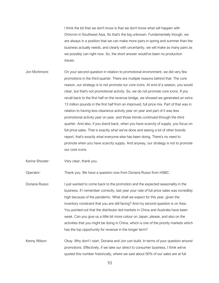I think the bit that we don't know is that we don't know what will happen with Omicron in Southeast Asia. So that's the big unknown. Fundamentally though, we are always in a position that we can make more pairs in spring and summer than the business actually needs, and clearly with uncertainty, we will make as many pairs as we possibly can right now. So, the short answer would've been no production issues.

Jon Mortimore: On your second question in relation to promotional environment, we did very few promotions in the third quarter. There are multiple reasons behind that. The core reason, our strategy is to not promote our core icons. At end of a season, you would clear, but that's not promotional activity. So, we do not promote core icons. If you recall back to the first half on the revenue bridge, we showed we generated an extra 13 million pounds in the first half from an improved, full price mix. Part of that was in relation to having less clearance activity year on year and part of it was less promotional activity year on year, and those trends continued through the third quarter. And also, if you stand back, when you have scarcity of supply, you focus on full price sales. That is exactly what we've done and seeing a lot of other brands report, that's exactly what everyone else has been doing. There's no need to promote when you have scarcity supply. And anyway, our strategy is not to promote our core icons.

Karina Shooter: Very clear, thank you.

Operator: Thank you. We have a question now from Doriana Russo from HSBC.

Doriana Russo: I just wanted to come back to the promotion and the expected seasonality in the business. If I remember correctly, last year your rate of full price sales was incredibly high because of the pandemic. What shall we expect for this year, given the inventory constraint that you are still facing? And my second question is on Asia. You pointed out that the distributor led markets in China and Australia have been weak. Can you give us a little bit more colour on Japan, please, and also on the activities that you might be doing in China, which is one of the priority markets which has the top opportunity for revenue in the longer term?

Kenny Wilson: Okay. Why don't I start, Doriana and Jon can build. In terms of your question around promotions. Effectively, if we take our direct to consumer business, I think we've quoted this number historically, where we said about 90% of our sales are at full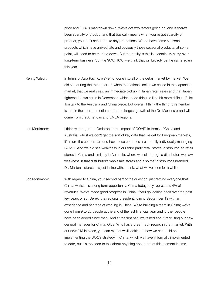price and 10% is markdown down. We've got two factors going on, one is there's been scarcity of product and that basically means when you've got scarcity of product, you don't need to take any promotions. We do have some seasonal products which have arrived late and obviously those seasonal products, at some point, will need to be marked down. But the reality is this is a continuity carry-over long-term business. So, the 90%, 10%, we think that will broadly be the same again this year.

- Kenny Wilson: In terms of Asia Pacific, we've not gone into all of the detail market by market. We did see during the third quarter, when the national lockdown eased in the Japanese market, that we really saw an immediate pickup in Japan retail sales and that Japan tightened down again in December, which made things a little bit more difficult. I'll let Jon talk to the Australia and China piece. But overall, I think the thing to remember is that in the short to medium term, the largest growth of the Dr. Martens brand will come from the Americas and EMEA regions.
- Jon Mortimore: I think with regard to Omicron or the impact of COVID in terms of China and Australia, whilst we don't get the sort of key data that we get for European markets, it's more the concern around how those countries are actually individually managing COVID. And we did see weakness in our third party retail stores, distributor led retail stores in China and similarly in Australia, where we sell through a distributor, we saw weakness in that distributor's wholesale stores and also that distributor's branded Dr. Marten's stores. It's just in line with, I think, what we've seen for a while.
- Jon Mortimore: With regard to China, your second part of the question, just remind everyone that China, whilst it is a long term opportunity, China today only represents 4% of revenues. We've made good progress in China. If you go looking back over the past few years or so, Derek, the regional president, joining September 19 with an experience and heritage of working in China. We're building a team in China; we've gone from 9 to 25 people at the end of the last financial year and further people have been added since then. And at the first half, we talked about recruiting our new general manager for China, Olga. Who has a great track record in that market. With our new GM in place, you can expect we'll looking at how we can build on implementing the DOCS strategy in China, which we haven't formally implemented to date, but it's too soon to talk about anything about that at this moment in time.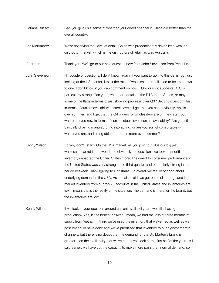- Doriana Russo: Can you give us a sense of whether your direct channel in China did better than the overall country?
- Jon Mortimore: We're not giving that level of detail. China was predominantly driven by a weaker distributor market, which is the distributors of retail, as was Australia.

Operator: Thank you. We'll go to our next question now from John Stevenson from Peel Hunt.

- John Stevenson: Hi, couple of questions. I don't know, again, if you want to go into this detail, but just looking at the US market, I think the ratio of wholesale to retail used to be about two to one. I don't know if you can comment on how... Obviously it suggests DTC is particularly strong. Can you give a more detail on the DTC in the States, or maybe some of the flags in terms of just showing progress over Q3? Second question. Just in terms of current availability in stock levels. I get that you can obviously rebuild over summer, and I get that the Q4 orders for wholesalers are on the water, but where are you now in terms of current stock level, current availability? Are you still basically chasing manufacturing into spring, or are you sort of comfortable with where you are, and being able to produce more over summer?
- Kenny Wilson: So why don't I start? On the USA market, as you point out, it is our biggest wholesale market in the world and obviously the decisions we took to prioritise inventory impacted the United States more. The direct to consumer performance in the United States was very strong in the third quarter and particularly strong in the period between Thanksgiving to Christmas. So overall we feel very good about underlying demand in the USA. As Jon also said, we get both sell through and in market inventory from our top 20 accounts in the United States and inventories are low. I mean, that's the reality of the situation. The demand is there for the brand, but the inventories are low.
- Kenny Wilson: If we look at your question around current availability, are we still chasing production? Yes, is the honest answer. I mean, we had the loss of three months of supply from Vietnam. I think we've used the inventory that we've had as well as we possibly could have done and we've prioritised that inventory to our highest margin channels, but there is no doubt that the demand for the Dr. Marten's brand is greater than the availability that we've had. If you look at the first half of the year, as I said earlier, we have got the capacity to make more pairs than normal demand, so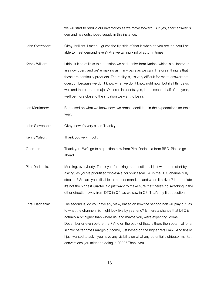we will start to rebuild our inventories as we move forward. But yes, short answer is demand has outstripped supply in this instance.

- John Stevenson: Okay, brilliant. I mean, I guess the flip side of that is when do you reckon, you'll be able to meet demand levels? Are we talking kind of autumn time?
- Kenny Wilson: I think it kind of links to a question we had earlier from Karina, which is all factories are now open, and we're making as many pairs as we can. The great thing is that these are continuity products. The reality is, it's very difficult for me to answer that question because we don't know what we don't know right now, but if all things go well and there are no major Omicron incidents, yes, in the second half of the year, we'll be more close to the situation we want to be in.
- Jon Mortimore: But based on what we know now, we remain confident in the expectations for next year.
- John Stevenson: Okay, now it's very clear. Thank you.
- Kenny Wilson: Thank you very much.
- Operator: Thank you. We'll go to a question now from Piral Dadhania from RBC. Please go ahead.
- Piral Dadhania: Morning, everybody. Thank you for taking the questions. I just wanted to start by asking, as you've prioritised wholesale, for your fiscal Q4, is the DTC channel fully stocked? So, are you still able to meet demand, as and when it arrives? I appreciate it's not the biggest quarter. So just want to make sure that there's no switching in the other direction away from DTC in Q4, as we saw in Q3. That's my first question.
- Piral Dadhania: The second is, do you have any view, based on how the second half will play out, as to what the channel mix might look like by year end? Is there a chance that DTC is actually a bit higher than where us, and maybe you, were expecting, come December or even before that? And on the back of that, is there then potential for a slightly better gross margin outcome, just based on the higher retail mix? And finally, I just wanted to ask if you have any visibility on what any potential distributor market conversions you might be doing in 2022? Thank you.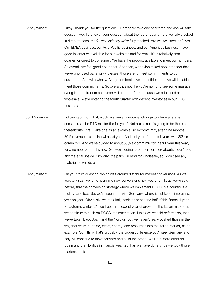- Kenny Wilson: Okay. Thank you for the questions. I'll probably take one and three and Jon will take question two. To answer your question about the fourth quarter, are we fully stocked in direct to consumer? I wouldn't say we're fully stocked. Are we well stocked? Yes. Our EMEA business, our Asia-Pacific business, and our Americas business, have good inventories available for our websites and for retail. It's a relatively small quarter for direct to consumer. We have the product available to meet our numbers. So overall, we feel good about that. And then, when Jon talked about the fact that we've prioritised pairs for wholesale, those are to meet commitments to our customers. And with what we've got on boats, we're confident that we will be able to meet those commitments. So overall, it's not like you're going to see some massive swing in that direct to consumer will underperform because we prioritised pairs to wholesale. We're entering the fourth quarter with decent inventories in our DTC business.
- Jon Mortimore: Following on from that, would we see any material change to where average consensus is for DTC mix for the full year? Not really, no, it's going to be there or thereabouts, Piral. Take one as an example, so e-comm mix, after nine months, 30% revenue mix, in line with last year. And last year, for the full year, was 30% ecomm mix. And we've guided to about 30% e-comm mix for the full year this year, for a number of months now. So, we're going to be there or thereabouts, I don't see any material upside. Similarly, the pairs will land for wholesale, so I don't see any material downside either.
- Kenny Wilson: On your third question, which was around distributor market conversions. As we look to FY23, we're not planning new conversions next year. I think, as we've said before, that the conversion strategy where we implement DOCS in a country is a multi-year effect. So, we've seen that with Germany, where it just keeps improving, year on year. Obviously, we took Italy back in the second half of this financial year. So autumn, winter '21, we'll get that second year of growth in the Italian market as we continue to push on DOCS implementation. I think we've said before also, that we've taken back Spain and the Nordics, but we haven't really pushed those in the way that we've put time, effort, energy, and resources into the Italian market, as an example. So, I think that's probably the biggest difference you'll see. Germany and Italy will continue to move forward and build the brand. We'll put more effort on Spain and the Nordics in financial year '23 than we have done since we took those markets back.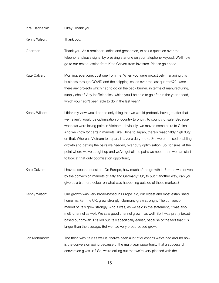| Piral Dadhania: | Okay. Thank you.                                                                                                                                                                                                                                                                                                                                                                                                                                                                                                                                                                                                                                                          |
|-----------------|---------------------------------------------------------------------------------------------------------------------------------------------------------------------------------------------------------------------------------------------------------------------------------------------------------------------------------------------------------------------------------------------------------------------------------------------------------------------------------------------------------------------------------------------------------------------------------------------------------------------------------------------------------------------------|
| Kenny Wilson:   | Thank you.                                                                                                                                                                                                                                                                                                                                                                                                                                                                                                                                                                                                                                                                |
| Operator:       | Thank you. As a reminder, ladies and gentlemen, to ask a question over the<br>telephone, please signal by pressing star one on your telephone keypad. We'll now<br>go to our next question from Kate Calvert from Investec. Please go ahead.                                                                                                                                                                                                                                                                                                                                                                                                                              |
| Kate Calvert:   | Morning, everyone. Just one from me. When you were proactively managing this<br>business through COVID and the shipping issues over the last quarter/Q2, were<br>there any projects which had to go on the back burner, in terms of manufacturing,<br>supply chain? Any inefficiencies, which you'll be able to go after in the year ahead,<br>which you hadn't been able to do in the last year?                                                                                                                                                                                                                                                                         |
| Kenny Wilson:   | I think my view would be the only thing that we would probably have got after that<br>we haven't, would be optimisation of country to origin, to country of sale. Because<br>when we were losing pairs in Vietnam, obviously, we moved some pairs to China.<br>And we know for certain markets, like China to Japan, there's reasonably high duty<br>on that. Whereas Vietnam to Japan, is a zero duty route. So, we prioritised enabling<br>growth and getting the pairs we needed, over duty optimisation. So, for sure, at the<br>point where we've caught up and we've got all the pairs we need, then we can start<br>to look at that duty optimisation opportunity. |
| Kate Calvert:   | I have a second question. On Europe, how much of the growth in Europe was driven<br>by the conversion markets of Italy and Germany? Or, to put it another way, can you<br>give us a bit more colour on what was happening outside of those markets?                                                                                                                                                                                                                                                                                                                                                                                                                       |
| Kenny Wilson:   | Our growth was very broad-based in Europe. So, our oldest and most established<br>home market, the UK, grew strongly. Germany grew strongly. The conversion<br>market of Italy grew strongly. And it was, as we said in the statement, it was also<br>multi-channel as well. We saw good channel growth as well. So it was pretty broad-<br>based our growth. I called out Italy specifically earlier, because of the fact that it is<br>larger than the average. But we had very broad-based growth.                                                                                                                                                                     |
| Jon Mortimore:  | The thing with Italy as well is, there's been a lot of questions we've had around how<br>is the conversion going because of the multi-year opportunity that a successful<br>conversion gives us? So, we're calling out that we're very pleased with the                                                                                                                                                                                                                                                                                                                                                                                                                   |